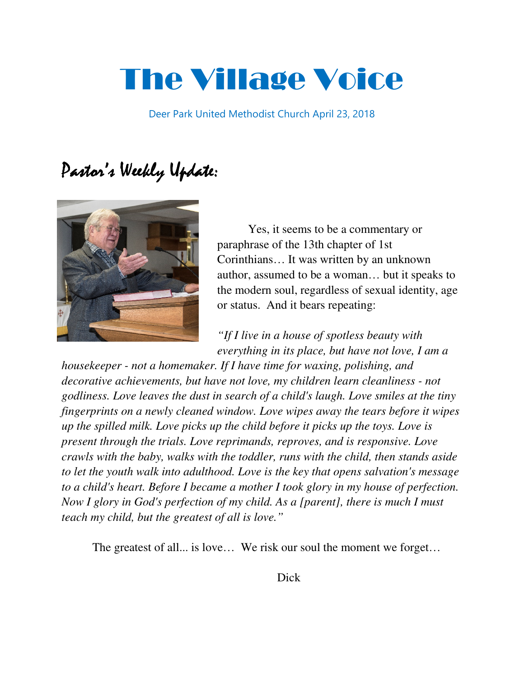# The Village Voice

Deer Park United Methodist Church April 23, 2018

## Pastor's Weekly Update:



Yes, it seems to be a commentary or paraphrase of the 13th chapter of 1st Corinthians… It was written by an unknown author, assumed to be a woman… but it speaks to the modern soul, regardless of sexual identity, age or status. And it bears repeating:

*"If I live in a house of spotless beauty with everything in its place, but have not love, I am a* 

*housekeeper - not a homemaker. If I have time for waxing, polishing, and decorative achievements, but have not love, my children learn cleanliness - not godliness. Love leaves the dust in search of a child's laugh. Love smiles at the tiny fingerprints on a newly cleaned window. Love wipes away the tears before it wipes up the spilled milk. Love picks up the child before it picks up the toys. Love is present through the trials. Love reprimands, reproves, and is responsive. Love crawls with the baby, walks with the toddler, runs with the child, then stands aside to let the youth walk into adulthood. Love is the key that opens salvation's message to a child's heart. Before I became a mother I took glory in my house of perfection. Now I glory in God's perfection of my child. As a [parent], there is much I must teach my child, but the greatest of all is love."*

The greatest of all... is love... We risk our soul the moment we forget...

**Example 2** Dick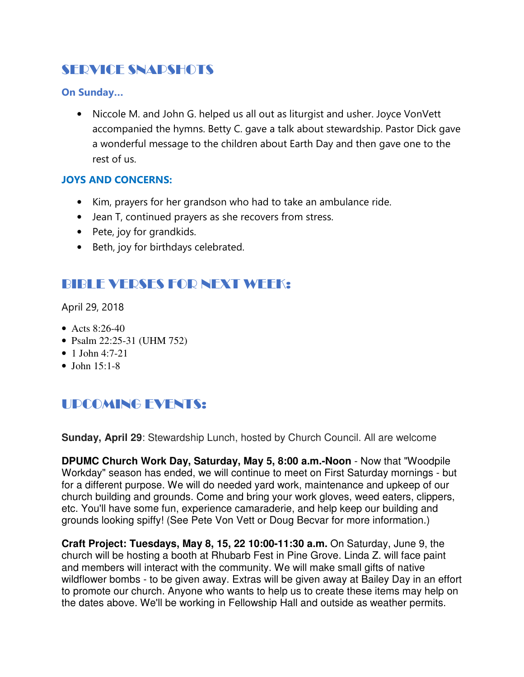## SERVICE SNAPSHOTS

## On Sunday…

• Niccole M. and John G. helped us all out as liturgist and usher. Joyce VonVett accompanied the hymns. Betty C. gave a talk about stewardship. Pastor Dick gave a wonderful message to the children about Earth Day and then gave one to the rest of us.

## JOYS AND CONCERNS:

- Kim, prayers for her grandson who had to take an ambulance ride.
- Jean T, continued prayers as she recovers from stress.
- Pete, joy for grandkids.
- Beth, joy for birthdays celebrated.

## BIBLE VERSES FOR NEXT WEEK:

April 29, 2018

- Acts  $8:26-40$
- Psalm 22:25-31 (UHM 752)
- 1 John 4:7-21
- $\bullet$  John 15:1-8

## UPCOMING EVENTS:

**Sunday, April 29**: Stewardship Lunch, hosted by Church Council. All are welcome

**DPUMC Church Work Day, Saturday, May 5, 8:00 a.m.-Noon** - Now that "Woodpile Workday" season has ended, we will continue to meet on First Saturday mornings - but for a different purpose. We will do needed yard work, maintenance and upkeep of our church building and grounds. Come and bring your work gloves, weed eaters, clippers, etc. You'll have some fun, experience camaraderie, and help keep our building and grounds looking spiffy! (See Pete Von Vett or Doug Becvar for more information.)

**Craft Project: Tuesdays, May 8, 15, 22 10:00-11:30 a.m.** On Saturday, June 9, the church will be hosting a booth at Rhubarb Fest in Pine Grove. Linda Z. will face paint and members will interact with the community. We will make small gifts of native wildflower bombs - to be given away. Extras will be given away at Bailey Day in an effort to promote our church. Anyone who wants to help us to create these items may help on the dates above. We'll be working in Fellowship Hall and outside as weather permits.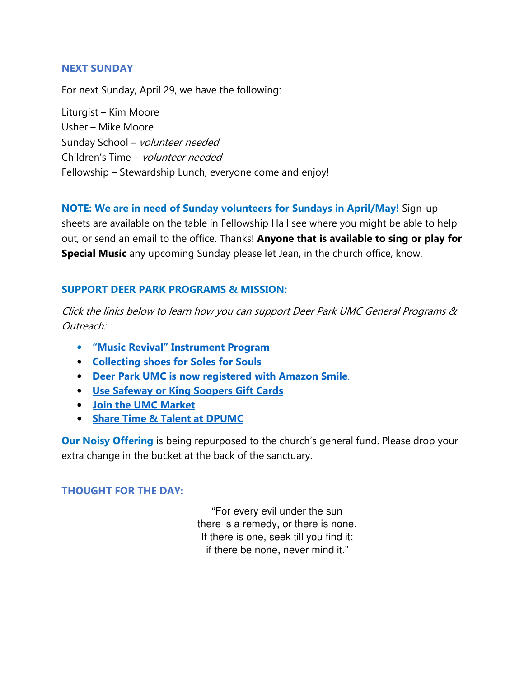#### NEXT SUNDAY

For next Sunday, April 29, we have the following:

Liturgist – Kim Moore Usher – Mike Moore Sunday School – volunteer needed Children's Time – volunteer needed Fellowship – Stewardship Lunch, everyone come and enjoy!

NOTE: We are in need of Sunday volunteers for Sundays in April/May! Sign-up sheets are available on the table in Fellowship Hall see where you might be able to help out, or send an email to the office. Thanks! Anyone that is available to sing or play for Special Music any upcoming Sunday please let Jean, in the church office, know.

#### SUPPORT DEER PARK PROGRAMS & MISSION:

Click the links below to learn how you can support Deer Park UMC General Programs & Outreach:

- "Music Revival" Instrument Program
- Collecting shoes for Soles for Souls
- Deer Park UMC is now registered with Amazon Smile.
- Use Safeway or King Soopers Gift Cards
- Join the UMC Market
- Share Time & Talent at DPUMC

**Our Noisy Offering** is being repurposed to the church's general fund. Please drop your extra change in the bucket at the back of the sanctuary.

#### THOUGHT FOR THE DAY:

"For every evil under the sun there is a remedy, or there is none. If there is one, seek till you find it: if there be none, never mind it."